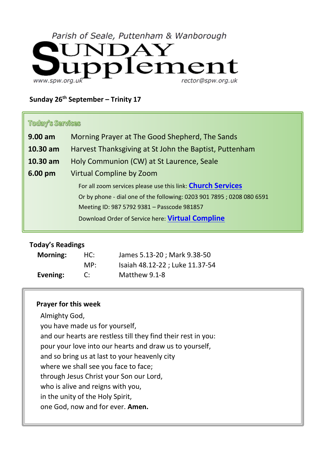# Parish of Seale, Puttenham & Wanborough



#### **Sunday 26th September – Trinity 17**

#### **Today's Services**

| $9.00$ am                                                             | Morning Prayer at The Good Shepherd, The Sands                     |  |  |
|-----------------------------------------------------------------------|--------------------------------------------------------------------|--|--|
| 10.30 am                                                              | Harvest Thanksgiving at St John the Baptist, Puttenham             |  |  |
| 10.30 am                                                              | Holy Communion (CW) at St Laurence, Seale                          |  |  |
| $6.00 \text{ pm}$                                                     | <b>Virtual Compline by Zoom</b>                                    |  |  |
|                                                                       | For all zoom services please use this link: <b>Church Services</b> |  |  |
| Or by phone - dial one of the following: 0203 901 7895; 0208 080 6591 |                                                                    |  |  |
|                                                                       | Meeting ID: 987 5792 9381 - Passcode 981857                        |  |  |
|                                                                       | Download Order of Service here: Virtual Compline                   |  |  |
|                                                                       |                                                                    |  |  |

#### **Today's Readings**

| <b>Morning:</b> | HC: | James 5.13-20; Mark 9.38-50     |
|-----------------|-----|---------------------------------|
|                 | MP: | Isaiah 48.12-22 ; Luke 11.37-54 |
| Evening:        | C:  | Matthew 9.1-8                   |

#### **Prayer for this week**

Almighty God, you have made us for yourself, and our hearts are restless till they find their rest in you: pour your love into our hearts and draw us to yourself, and so bring us at last to your heavenly city where we shall see you face to face; through Jesus Christ your Son our Lord, who is alive and reigns with you, in the unity of the Holy Spirit, one God, now and for ever. **Amen.**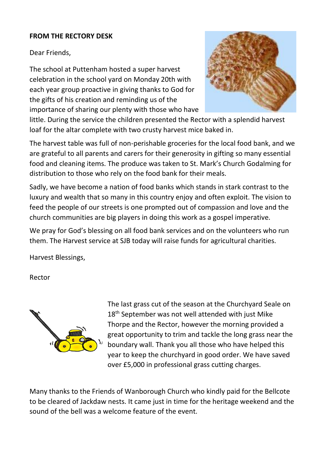### **FROM THE RECTORY DESK**

Dear Friends,

The school at Puttenham hosted a super harvest celebration in the school yard on Monday 20th with each year group proactive in giving thanks to God for the gifts of his creation and reminding us of the importance of sharing our plenty with those who have



little. During the service the children presented the Rector with a splendid harvest loaf for the altar complete with two crusty harvest mice baked in.

The harvest table was full of non-perishable groceries for the local food bank, and we are grateful to all parents and carers for their generosity in gifting so many essential food and cleaning items. The produce was taken to St. Mark's Church Godalming for distribution to those who rely on the food bank for their meals.

Sadly, we have become a nation of food banks which stands in stark contrast to the luxury and wealth that so many in this country enjoy and often exploit. The vision to feed the people of our streets is one prompted out of compassion and love and the church communities are big players in doing this work as a gospel imperative.

We pray for God's blessing on all food bank services and on the volunteers who run them. The Harvest service at SJB today will raise funds for agricultural charities.

Harvest Blessings,

Rector



The last grass cut of the season at the Churchyard Seale on 18<sup>th</sup> September was not well attended with just Mike Thorpe and the Rector, however the morning provided a great opportunity to trim and tackle the long grass near the boundary wall. Thank you all those who have helped this year to keep the churchyard in good order. We have saved over £5,000 in professional grass cutting charges.

Many thanks to the Friends of Wanborough Church who kindly paid for the Bellcote to be cleared of Jackdaw nests. It came just in time for the heritage weekend and the sound of the bell was a welcome feature of the event.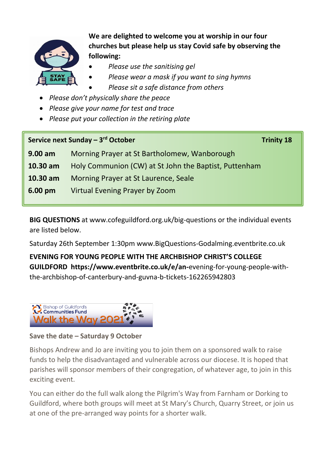

**We are delighted to welcome you at worship in our four churches but please help us stay Covid safe by observing the following:**

- *Please use the sanitising gel*
- *Please wear a mask if you want to sing hymns*
- *Please sit a safe distance from others*
- *Please don't physically share the peace*
- *Please give your name for test and trace*
- *Please put your collection in the retiring plate*

# **Service next Sunday – 3<sup>rd</sup> October <b>Trinity 18**

| $9.00$ am         | Morning Prayer at St Bartholomew, Wanborough          |  |
|-------------------|-------------------------------------------------------|--|
| 10.30 am          | Holy Communion (CW) at St John the Baptist, Puttenham |  |
| 10.30 am          | Morning Prayer at St Laurence, Seale                  |  |
| $6.00 \text{ pm}$ | Virtual Evening Prayer by Zoom                        |  |

**BIG QUESTIONS** at www.cofeguildford.org.uk/big-questions or the individual events are listed below.

Saturday 26th September 1:30pm www.BigQuestions-Godalming.eventbrite.co.uk

**EVENING FOR YOUNG PEOPLE WITH THE ARCHBISHOP CHRIST'S COLLEGE GUILDFORD https://www.eventbrite.co.uk/e/an-**evening-for-young-people-withthe-archbishop-of-canterbury-and-guvna-b-tickets-162265942803



# **Save the date – Saturday 9 October**

Bishops Andrew and Jo are inviting you to join them on a sponsored walk to raise funds to help the disadvantaged and vulnerable across our diocese. It is hoped that parishes will sponsor members of their congregation, of whatever age, to join in this exciting event.

You can either do the full walk along the Pilgrim's Way from Farnham or Dorking to Guildford, where both groups will meet at St Mary's Church, Quarry Street, or join us at one of the pre-arranged way points for a shorter walk.